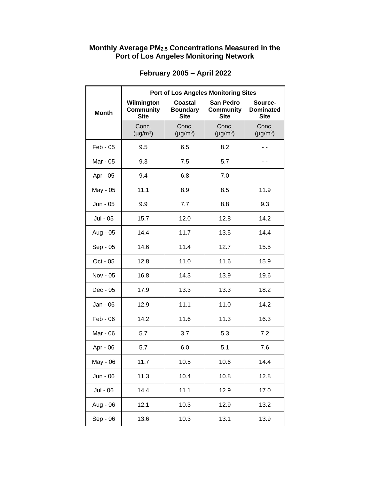## **Monthly Average PM2.5 Concentrations Measured in the Port of Los Angeles Monitoring Network**

|              | <b>Port of Los Angeles Monitoring Sites</b>   |                                                  |                                                     |                                            |  |
|--------------|-----------------------------------------------|--------------------------------------------------|-----------------------------------------------------|--------------------------------------------|--|
| <b>Month</b> | Wilmington<br><b>Community</b><br><b>Site</b> | <b>Coastal</b><br><b>Boundary</b><br><b>Site</b> | <b>San Pedro</b><br><b>Community</b><br><b>Site</b> | Source-<br><b>Dominated</b><br><b>Site</b> |  |
|              | Conc.<br>$(\mu g/m^3)$                        | Conc.<br>$(\mu g/m^3)$                           | Conc.<br>$(\mu g/m^3)$                              | Conc.<br>$(\mu g/m^3)$                     |  |
| Feb - 05     | 9.5                                           | 6.5                                              | 8.2                                                 |                                            |  |
| Mar - 05     | 9.3                                           | 7.5                                              | 5.7                                                 |                                            |  |
| Apr - 05     | 9.4                                           | 6.8                                              | 7.0                                                 | . .                                        |  |
| May - 05     | 11.1                                          | 8.9                                              | 8.5                                                 | 11.9                                       |  |
| Jun - 05     | 9.9                                           | 7.7                                              | 8.8                                                 | 9.3                                        |  |
| Jul - 05     | 15.7                                          | 12.0                                             | 12.8                                                | 14.2                                       |  |
| Aug - 05     | 14.4                                          | 11.7                                             | 13.5                                                | 14.4                                       |  |
| Sep - 05     | 14.6                                          | 11.4                                             | 12.7                                                | 15.5                                       |  |
| Oct - 05     | 12.8                                          | 11.0                                             | 11.6                                                | 15.9                                       |  |
| Nov - 05     | 16.8                                          | 14.3                                             | 13.9                                                | 19.6                                       |  |
| Dec - 05     | 17.9                                          | 13.3                                             | 13.3                                                | 18.2                                       |  |
| Jan - 06     | 12.9                                          | 11.1                                             | 11.0                                                | 14.2                                       |  |
| $Feb - 06$   | 14.2                                          | 11.6                                             | 11.3                                                | 16.3                                       |  |
| Mar - 06     | 5.7                                           | 3.7                                              | 5.3                                                 | 7.2                                        |  |
| Apr - 06     | 5.7                                           | 6.0                                              | 5.1                                                 | 7.6                                        |  |
| May - 06     | 11.7                                          | 10.5                                             | 10.6                                                | 14.4                                       |  |
| Jun - 06     | 11.3                                          | 10.4                                             | 10.8                                                | 12.8                                       |  |
| Jul - 06     | 14.4                                          | 11.1                                             | 12.9                                                | 17.0                                       |  |
| Aug - 06     | 12.1                                          | 10.3                                             | 12.9                                                | 13.2                                       |  |
| Sep - 06     | 13.6                                          | 10.3                                             | 13.1                                                | 13.9                                       |  |

## **February 2005 – April 2022**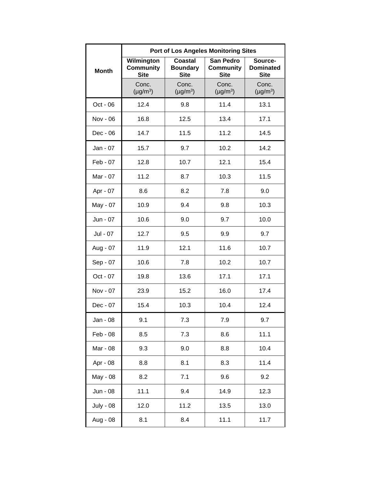|                  | <b>Port of Los Angeles Monitoring Sites</b>   |                                                  |                                                     |                                            |  |
|------------------|-----------------------------------------------|--------------------------------------------------|-----------------------------------------------------|--------------------------------------------|--|
| <b>Month</b>     | Wilmington<br><b>Community</b><br><b>Site</b> | <b>Coastal</b><br><b>Boundary</b><br><b>Site</b> | <b>San Pedro</b><br><b>Community</b><br><b>Site</b> | Source-<br><b>Dominated</b><br><b>Site</b> |  |
|                  | Conc.<br>$(\mu g/m^3)$                        | Conc.<br>$(\mu g/m^3)$                           | Conc.<br>$(\mu g/m^3)$                              | Conc.<br>$(\mu g/m^3)$                     |  |
| Oct - 06         | 12.4                                          | 9.8                                              | 11.4                                                | 13.1                                       |  |
| Nov - 06         | 16.8                                          | 12.5                                             | 13.4                                                | 17.1                                       |  |
| Dec - 06         | 14.7                                          | 11.5                                             | 11.2                                                | 14.5                                       |  |
| Jan - 07         | 15.7                                          | 9.7                                              | 10.2                                                | 14.2                                       |  |
| $Feb - 07$       | 12.8                                          | 10.7                                             | 12.1                                                | 15.4                                       |  |
| Mar - 07         | 11.2                                          | 8.7                                              | 10.3                                                | 11.5                                       |  |
| Apr - 07         | 8.6                                           | 8.2                                              | 7.8                                                 | 9.0                                        |  |
| May - 07         | 10.9                                          | 9.4                                              | 9.8                                                 | 10.3                                       |  |
| Jun - 07         | 10.6                                          | 9.0                                              | 9.7                                                 | 10.0                                       |  |
| Jul - 07         | 12.7                                          | 9.5                                              | 9.9                                                 | 9.7                                        |  |
| Aug - 07         | 11.9                                          | 12.1                                             | 11.6                                                | 10.7                                       |  |
| Sep - 07         | 10.6                                          | 7.8                                              | 10.2                                                | 10.7                                       |  |
| Oct - 07         | 19.8                                          | 13.6                                             | 17.1                                                | 17.1                                       |  |
| Nov - 07         | 23.9                                          | 15.2                                             | 16.0                                                | 17.4                                       |  |
| Dec - 07         | 15.4                                          | 10.3                                             | 10.4                                                | 12.4                                       |  |
| Jan - 08         | 9.1                                           | 7.3                                              | 7.9                                                 | 9.7                                        |  |
| Feb - 08         | 8.5                                           | 7.3                                              | 8.6                                                 | 11.1                                       |  |
| Mar - 08         | 9.3                                           | 9.0                                              | 8.8                                                 | 10.4                                       |  |
| Apr - 08         | 8.8                                           | 8.1                                              | 8.3                                                 | 11.4                                       |  |
| May - 08         | 8.2                                           | 7.1                                              | 9.6                                                 | 9.2                                        |  |
| Jun - 08         | 11.1                                          | 9.4                                              | 14.9                                                | 12.3                                       |  |
| <b>July - 08</b> | 12.0                                          | 11.2                                             | 13.5                                                | 13.0                                       |  |
| Aug - 08         | 8.1                                           | 8.4                                              | 11.1                                                | 11.7                                       |  |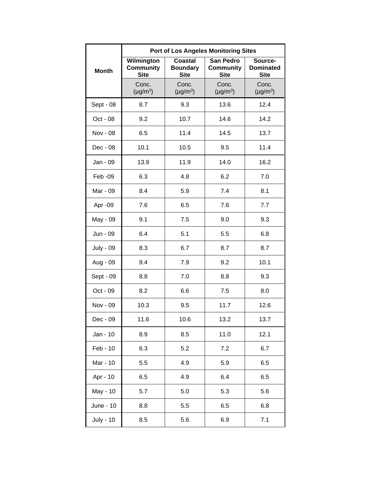|                  | <b>Port of Los Angeles Monitoring Sites</b>   |                                                  |                                                     |                                            |  |
|------------------|-----------------------------------------------|--------------------------------------------------|-----------------------------------------------------|--------------------------------------------|--|
| <b>Month</b>     | Wilmington<br><b>Community</b><br><b>Site</b> | <b>Coastal</b><br><b>Boundary</b><br><b>Site</b> | <b>San Pedro</b><br><b>Community</b><br><b>Site</b> | Source-<br><b>Dominated</b><br><b>Site</b> |  |
|                  | Conc.<br>$(\mu g/m^3)$                        | Conc.<br>$(\mu g/m^3)$                           | Conc.<br>$(\mu g/m^3)$                              | Conc.<br>$(\mu g/m^3)$                     |  |
| Sept - 08        | 8.7                                           | 9.3                                              | 13.6                                                | 12.4                                       |  |
| Oct - 08         | 9.2                                           | 10.7                                             | 14.6                                                | 14.2                                       |  |
| Nov - 08         | 6.5                                           | 11.4                                             | 14.5                                                | 13.7                                       |  |
| Dec - 08         | 10.1                                          | 10.5                                             | 9.5                                                 | 11.4                                       |  |
| Jan - 09         | 13.9                                          | 11.9                                             | 14.0                                                | 16.2                                       |  |
| Feb -09          | 6.3                                           | 4.8                                              | 6.2                                                 | 7.0                                        |  |
| Mar - 09         | 8.4                                           | 5.9                                              | 7.4                                                 | 8.1                                        |  |
| Apr -09          | 7.6                                           | 6.5                                              | 7.6                                                 | 7.7                                        |  |
| May - 09         | 9.1                                           | 7.5                                              | 9.0                                                 | 9.3                                        |  |
| Jun - 09         | 6.4                                           | 5.1                                              | 5.5                                                 | 6.8                                        |  |
| <b>July - 09</b> | 8.3                                           | 6.7                                              | 8.7                                                 | 8.7                                        |  |
| Aug - 09         | 9.4                                           | 7.9                                              | 9.2                                                 | 10.1                                       |  |
| Sept - 09        | 8.8                                           | 7.0                                              | 8.8                                                 | 9.3                                        |  |
| Oct - 09         | 8.2                                           | 6.6                                              | 7.5                                                 | 8.0                                        |  |
| Nov - 09         | 10.3                                          | 9.5                                              | 11.7                                                | 12.6                                       |  |
| Dec - 09         | 11.6                                          | 10.6                                             | 13.2                                                | 13.7                                       |  |
| Jan - 10         | 8.9                                           | 8.5                                              | 11.0                                                | 12.1                                       |  |
| Feb - 10         | 6.3                                           | 5.2                                              | 7.2                                                 | 6.7                                        |  |
| Mar - 10         | 5.5                                           | 4.9                                              | 5.9                                                 | 6.5                                        |  |
| Apr - 10         | 6.5                                           | 4.9                                              | 6.4                                                 | 6.5                                        |  |
| May - 10         | 5.7                                           | 5.0                                              | 5.3                                                 | 5.6                                        |  |
| June - 10        | 8.8                                           | 5.5                                              | 6.5                                                 | 6.8                                        |  |
| <b>July - 10</b> | 8.5                                           | 5.6                                              | 6.9                                                 | 7.1                                        |  |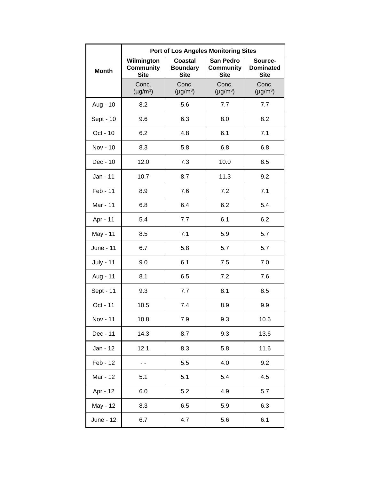|                  | <b>Port of Los Angeles Monitoring Sites</b> |                                                  |                                                     |                                            |  |
|------------------|---------------------------------------------|--------------------------------------------------|-----------------------------------------------------|--------------------------------------------|--|
| <b>Month</b>     | Wilmington<br>Community<br><b>Site</b>      | <b>Coastal</b><br><b>Boundary</b><br><b>Site</b> | <b>San Pedro</b><br><b>Community</b><br><b>Site</b> | Source-<br><b>Dominated</b><br><b>Site</b> |  |
|                  | Conc.<br>$(\mu g/m^3)$                      | Conc.<br>$(\mu g/m^3)$                           | Conc.<br>$(\mu g/m^3)$                              | Conc.<br>$(\mu g/m^3)$                     |  |
| Aug - 10         | 8.2                                         | 5.6                                              | 7.7                                                 | 7.7                                        |  |
| Sept - 10        | 9.6                                         | 6.3                                              | 8.0                                                 | 8.2                                        |  |
| Oct - 10         | 6.2                                         | 4.8                                              | 6.1                                                 | 7.1                                        |  |
| Nov - 10         | 8.3                                         | 5.8                                              | 6.8                                                 | 6.8                                        |  |
| Dec - 10         | 12.0                                        | 7.3                                              | 10.0                                                | 8.5                                        |  |
| Jan - 11         | 10.7                                        | 8.7                                              | 11.3                                                | 9.2                                        |  |
| Feb - 11         | 8.9                                         | 7.6                                              | 7.2                                                 | 7.1                                        |  |
| Mar - 11         | 6.8                                         | 6.4                                              | 6.2                                                 | 5.4                                        |  |
| Apr - 11         | 5.4                                         | 7.7                                              | 6.1                                                 | 6.2                                        |  |
| May - 11         | 8.5                                         | 7.1                                              | 5.9                                                 | 5.7                                        |  |
| June - 11        | 6.7                                         | 5.8                                              | 5.7                                                 | 5.7                                        |  |
| <b>July - 11</b> | 9.0                                         | 6.1                                              | 7.5                                                 | 7.0                                        |  |
| Aug - 11         | 8.1                                         | 6.5                                              | 7.2                                                 | 7.6                                        |  |
| Sept - 11        | 9.3                                         | 7.7                                              | 8.1                                                 | 8.5                                        |  |
| Oct - 11         | 10.5                                        | 7.4                                              | 8.9                                                 | 9.9                                        |  |
| Nov - 11         | 10.8                                        | 7.9                                              | 9.3                                                 | 10.6                                       |  |
| Dec - 11         | 14.3                                        | 8.7                                              | 9.3                                                 | 13.6                                       |  |
| Jan - 12         | 12.1                                        | 8.3                                              | 5.8                                                 | 11.6                                       |  |
| Feb - 12         |                                             | 5.5                                              | 4.0                                                 | 9.2                                        |  |
| Mar - 12         | 5.1                                         | 5.1                                              | 5.4                                                 | 4.5                                        |  |
| Apr - 12         | 6.0                                         | 5.2                                              | 4.9                                                 | 5.7                                        |  |
| May - 12         | 8.3                                         | 6.5                                              | 5.9                                                 | 6.3                                        |  |
| June - 12        | 6.7                                         | 4.7                                              | 5.6                                                 | 6.1                                        |  |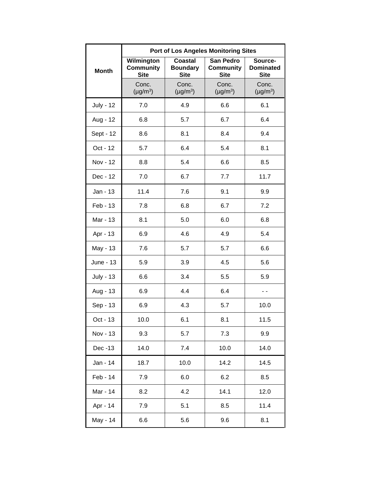|                  | <b>Port of Los Angeles Monitoring Sites</b>   |                                                  |                                                     |                                            |  |
|------------------|-----------------------------------------------|--------------------------------------------------|-----------------------------------------------------|--------------------------------------------|--|
| <b>Month</b>     | Wilmington<br><b>Community</b><br><b>Site</b> | <b>Coastal</b><br><b>Boundary</b><br><b>Site</b> | <b>San Pedro</b><br><b>Community</b><br><b>Site</b> | Source-<br><b>Dominated</b><br><b>Site</b> |  |
|                  | Conc.<br>$(\mu g/m^3)$                        | Conc.<br>$(\mu g/m^3)$                           | Conc.<br>$(\mu g/m^3)$                              | Conc.<br>$(\mu g/m^3)$                     |  |
| <b>July - 12</b> | 7.0                                           | 4.9                                              | 6.6                                                 | 6.1                                        |  |
| Aug - 12         | 6.8                                           | 5.7                                              | 6.7                                                 | 6.4                                        |  |
| Sept - 12        | 8.6                                           | 8.1                                              | 8.4                                                 | 9.4                                        |  |
| Oct - 12         | 5.7                                           | 6.4                                              | 5.4                                                 | 8.1                                        |  |
| Nov - 12         | 8.8                                           | 5.4                                              | 6.6                                                 | 8.5                                        |  |
| Dec - 12         | 7.0                                           | 6.7                                              | 7.7                                                 | 11.7                                       |  |
| Jan - 13         | 11.4                                          | 7.6                                              | 9.1                                                 | 9.9                                        |  |
| Feb - 13         | 7.8                                           | 6.8                                              | 6.7                                                 | 7.2                                        |  |
| Mar - 13         | 8.1                                           | 5.0                                              | 6.0                                                 | 6.8                                        |  |
| Apr - 13         | 6.9                                           | 4.6                                              | 4.9                                                 | 5.4                                        |  |
| May - 13         | 7.6                                           | 5.7                                              | 5.7                                                 | 6.6                                        |  |
| June - 13        | 5.9                                           | 3.9                                              | 4.5                                                 | 5.6                                        |  |
| <b>July - 13</b> | 6.6                                           | 3.4                                              | 5.5                                                 | 5.9                                        |  |
| Aug - 13         | 6.9                                           | 4.4                                              | 6.4                                                 | - -                                        |  |
| Sep - 13         | 6.9                                           | 4.3                                              | 5.7                                                 | 10.0                                       |  |
| Oct - 13         | 10.0                                          | 6.1                                              | 8.1                                                 | 11.5                                       |  |
| Nov - 13         | 9.3                                           | 5.7                                              | 7.3                                                 | 9.9                                        |  |
| Dec -13          | 14.0                                          | 7.4                                              | 10.0                                                | 14.0                                       |  |
| Jan - 14         | 18.7                                          | 10.0                                             | 14.2                                                | 14.5                                       |  |
| Feb - 14         | 7.9                                           | 6.0                                              | 6.2                                                 | 8.5                                        |  |
| Mar - 14         | 8.2                                           | 4.2                                              | 14.1                                                | 12.0                                       |  |
| Apr - 14         | 7.9                                           | 5.1                                              | 8.5                                                 | 11.4                                       |  |
| May - 14         | 6.6                                           | 5.6                                              | 9.6                                                 | 8.1                                        |  |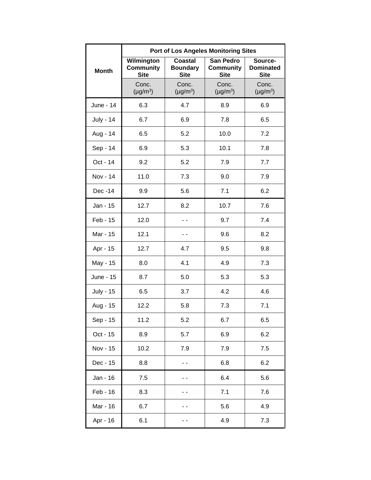|                  | <b>Port of Los Angeles Monitoring Sites</b>   |                                                  |                                                     |                                            |  |
|------------------|-----------------------------------------------|--------------------------------------------------|-----------------------------------------------------|--------------------------------------------|--|
| <b>Month</b>     | Wilmington<br><b>Community</b><br><b>Site</b> | <b>Coastal</b><br><b>Boundary</b><br><b>Site</b> | <b>San Pedro</b><br><b>Community</b><br><b>Site</b> | Source-<br><b>Dominated</b><br><b>Site</b> |  |
|                  | Conc.<br>$(\mu g/m^3)$                        | Conc.<br>$(\mu g/m^3)$                           | Conc.<br>$(\mu g/m^3)$                              | Conc.<br>$(\mu g/m^3)$                     |  |
| June - 14        | 6.3                                           | 4.7                                              | 8.9                                                 | 6.9                                        |  |
| <b>July - 14</b> | 6.7                                           | 6.9                                              | 7.8                                                 | 6.5                                        |  |
| Aug - 14         | 6.5                                           | 5.2                                              | 10.0                                                | 7.2                                        |  |
| Sep - 14         | 6.9                                           | 5.3                                              | 10.1                                                | 7.8                                        |  |
| Oct - 14         | 9.2                                           | 5.2                                              | 7.9                                                 | 7.7                                        |  |
| Nov - 14         | 11.0                                          | 7.3                                              | 9.0                                                 | 7.9                                        |  |
| Dec -14          | 9.9                                           | 5.6                                              | 7.1                                                 | 6.2                                        |  |
| Jan - 15         | 12.7                                          | 8.2                                              | 10.7                                                | 7.6                                        |  |
| Feb - 15         | 12.0                                          |                                                  | 9.7                                                 | 7.4                                        |  |
| Mar - 15         | 12.1                                          |                                                  | 9.6                                                 | 8.2                                        |  |
| Apr - 15         | 12.7                                          | 4.7                                              | 9.5                                                 | 9.8                                        |  |
| May - 15         | 8.0                                           | 4.1                                              | 4.9                                                 | 7.3                                        |  |
| June - 15        | 8.7                                           | 5.0                                              | 5.3                                                 | 5.3                                        |  |
| <b>July - 15</b> | 6.5                                           | 3.7                                              | 4.2                                                 | 4.6                                        |  |
| Aug - 15         | 12.2                                          | 5.8                                              | 7.3                                                 | 7.1                                        |  |
| Sep - 15         | 11.2                                          | 5.2                                              | 6.7                                                 | 6.5                                        |  |
| Oct - 15         | 8.9                                           | 5.7                                              | 6.9                                                 | 6.2                                        |  |
| Nov - 15         | 10.2                                          | 7.9                                              | 7.9                                                 | 7.5                                        |  |
| Dec - 15         | 8.8                                           |                                                  | 6.8                                                 | 6.2                                        |  |
| Jan - 16         | 7.5                                           |                                                  | 6.4                                                 | 5.6                                        |  |
| Feb - 16         | 8.3                                           |                                                  | 7.1                                                 | 7.6                                        |  |
| Mar - 16         | 6.7                                           |                                                  | 5.6                                                 | 4.9                                        |  |
| Apr - 16         | 6.1                                           |                                                  | 4.9                                                 | 7.3                                        |  |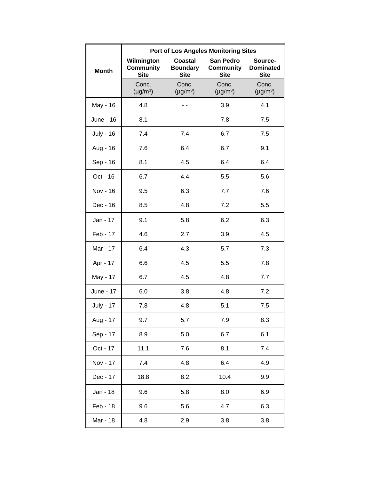|                  | <b>Port of Los Angeles Monitoring Sites</b>   |                                                  |                                                     |                                            |  |
|------------------|-----------------------------------------------|--------------------------------------------------|-----------------------------------------------------|--------------------------------------------|--|
| <b>Month</b>     | Wilmington<br><b>Community</b><br><b>Site</b> | <b>Coastal</b><br><b>Boundary</b><br><b>Site</b> | <b>San Pedro</b><br><b>Community</b><br><b>Site</b> | Source-<br><b>Dominated</b><br><b>Site</b> |  |
|                  | Conc.<br>$(\mu g/m^3)$                        | Conc.<br>$(\mu g/m^3)$                           | Conc.<br>$(\mu g/m^3)$                              | Conc.<br>$(\mu g/m^3)$                     |  |
| May - 16         | 4.8                                           |                                                  | 3.9                                                 | 4.1                                        |  |
| June - 16        | 8.1                                           |                                                  | 7.8                                                 | 7.5                                        |  |
| <b>July - 16</b> | 7.4                                           | 7.4                                              | 6.7                                                 | 7.5                                        |  |
| Aug - 16         | 7.6                                           | 6.4                                              | 6.7                                                 | 9.1                                        |  |
| Sep - 16         | 8.1                                           | 4.5                                              | 6.4                                                 | 6.4                                        |  |
| Oct - 16         | 6.7                                           | 4.4                                              | 5.5                                                 | 5.6                                        |  |
| Nov - 16         | 9.5                                           | 6.3                                              | 7.7                                                 | 7.6                                        |  |
| Dec - 16         | 8.5                                           | 4.8                                              | 7.2                                                 | 5.5                                        |  |
| Jan - 17         | 9.1                                           | 5.8                                              | 6.2                                                 | 6.3                                        |  |
| Feb - 17         | 4.6                                           | 2.7                                              | 3.9                                                 | 4.5                                        |  |
| Mar - 17         | 6.4                                           | 4.3                                              | 5.7                                                 | 7.3                                        |  |
| Apr - 17         | 6.6                                           | 4.5                                              | 5.5                                                 | 7.8                                        |  |
| May - 17         | 6.7                                           | 4.5                                              | 4.8                                                 | 7.7                                        |  |
| June - 17        | 6.0                                           | 3.8                                              | 4.8                                                 | 7.2                                        |  |
| <b>July - 17</b> | 7.8                                           | 4.8                                              | 5.1                                                 | 7.5                                        |  |
| Aug - 17         | 9.7                                           | 5.7                                              | 7.9                                                 | 8.3                                        |  |
| Sep - 17         | 8.9                                           | 5.0                                              | 6.7                                                 | 6.1                                        |  |
| Oct - 17         | 11.1                                          | 7.6                                              | 8.1                                                 | 7.4                                        |  |
| Nov - 17         | 7.4                                           | 4.8                                              | 6.4                                                 | 4.9                                        |  |
| Dec - 17         | 18.8                                          | 8.2                                              | 10.4                                                | 9.9                                        |  |
| Jan - 18         | 9.6                                           | 5.8                                              | 8.0                                                 | 6.9                                        |  |
| Feb - 18         | 9.6                                           | 5.6                                              | 4.7                                                 | 6.3                                        |  |
| Mar - 18         | 4.8                                           | 2.9                                              | 3.8                                                 | 3.8                                        |  |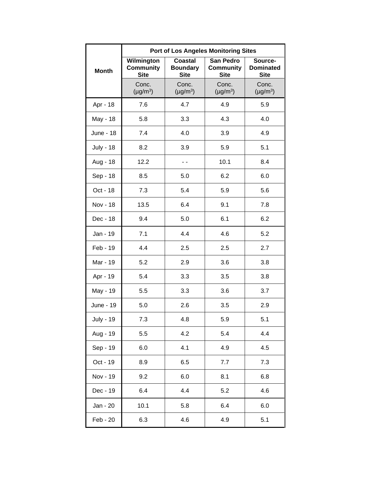|                  | <b>Port of Los Angeles Monitoring Sites</b>   |                                                  |                                              |                                            |  |
|------------------|-----------------------------------------------|--------------------------------------------------|----------------------------------------------|--------------------------------------------|--|
| <b>Month</b>     | Wilmington<br><b>Community</b><br><b>Site</b> | <b>Coastal</b><br><b>Boundary</b><br><b>Site</b> | San Pedro<br><b>Community</b><br><b>Site</b> | Source-<br><b>Dominated</b><br><b>Site</b> |  |
|                  | Conc.<br>$(\mu g/m^3)$                        | Conc.<br>$(\mu g/m^3)$                           | Conc.<br>$(\mu g/m^3)$                       | Conc.<br>$(\mu g/m^3)$                     |  |
| Apr - 18         | 7.6                                           | 4.7                                              | 4.9                                          | 5.9                                        |  |
| May - 18         | 5.8                                           | 3.3                                              | 4.3                                          | 4.0                                        |  |
| <b>June - 18</b> | 7.4                                           | 4.0                                              | 3.9                                          | 4.9                                        |  |
| <b>July - 18</b> | 8.2                                           | 3.9                                              | 5.9                                          | 5.1                                        |  |
| Aug - 18         | 12.2                                          | - -                                              | 10.1                                         | 8.4                                        |  |
| Sep - 18         | 8.5                                           | 5.0                                              | 6.2                                          | 6.0                                        |  |
| Oct - 18         | 7.3                                           | 5.4                                              | 5.9                                          | 5.6                                        |  |
| <b>Nov - 18</b>  | 13.5                                          | 6.4                                              | 9.1                                          | 7.8                                        |  |
| Dec - 18         | 9.4                                           | 5.0                                              | 6.1                                          | 6.2                                        |  |
| Jan - 19         | 7.1                                           | 4.4                                              | 4.6                                          | 5.2                                        |  |
| Feb - 19         | 4.4                                           | 2.5                                              | 2.5                                          | 2.7                                        |  |
| Mar - 19         | 5.2                                           | 2.9                                              | 3.6                                          | 3.8                                        |  |
| Apr - 19         | 5.4                                           | 3.3                                              | 3.5                                          | 3.8                                        |  |
| May - 19         | 5.5                                           | 3.3                                              | 3.6                                          | 3.7                                        |  |
| June - 19        | 5.0                                           | 2.6                                              | 3.5                                          | 2.9                                        |  |
| <b>July - 19</b> | 7.3                                           | 4.8                                              | 5.9                                          | 5.1                                        |  |
| Aug - 19         | 5.5                                           | 4.2                                              | 5.4                                          | 4.4                                        |  |
| Sep - 19         | 6.0                                           | 4.1                                              | 4.9                                          | 4.5                                        |  |
| Oct - 19         | 8.9                                           | 6.5                                              | 7.7                                          | 7.3                                        |  |
| Nov - 19         | 9.2                                           | 6.0                                              | 8.1                                          | 6.8                                        |  |
| Dec - 19         | 6.4                                           | 4.4                                              | 5.2                                          | 4.6                                        |  |
| Jan - 20         | 10.1                                          | 5.8                                              | 6.4                                          | 6.0                                        |  |
| Feb - 20         | 6.3                                           | 4.6                                              | 4.9                                          | 5.1                                        |  |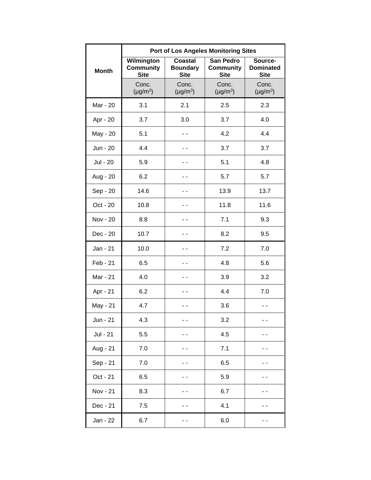|              | <b>Port of Los Angeles Monitoring Sites</b>   |                                                  |                                              |                                            |  |
|--------------|-----------------------------------------------|--------------------------------------------------|----------------------------------------------|--------------------------------------------|--|
| <b>Month</b> | Wilmington<br><b>Community</b><br><b>Site</b> | <b>Coastal</b><br><b>Boundary</b><br><b>Site</b> | San Pedro<br><b>Community</b><br><b>Site</b> | Source-<br><b>Dominated</b><br><b>Site</b> |  |
|              | Conc.<br>$(\mu g/m^3)$                        | Conc.<br>$(\mu g/m^3)$                           | Conc.<br>$(\mu g/m^3)$                       | Conc.<br>$(\mu g/m^3)$                     |  |
| Mar - 20     | 3.1                                           | 2.1                                              | 2.5                                          | 2.3                                        |  |
| Apr - 20     | 3.7                                           | 3.0                                              | 3.7                                          | 4.0                                        |  |
| May - 20     | 5.1                                           |                                                  | 4.2                                          | 4.4                                        |  |
| Jun - 20     | 4.4                                           |                                                  | 3.7                                          | 3.7                                        |  |
| Jul - 20     | 5.9                                           |                                                  | 5.1                                          | 4.8                                        |  |
| Aug - 20     | 6.2                                           |                                                  | 5.7                                          | 5.7                                        |  |
| Sep - 20     | 14.6                                          |                                                  | 13.9                                         | 13.7                                       |  |
| Oct - 20     | 10.8                                          |                                                  | 11.8                                         | 11.6                                       |  |
| Nov - 20     | 8.8                                           |                                                  | 7.1                                          | 9.3                                        |  |
| Dec - 20     | 10.7                                          |                                                  | 8.2                                          | 9.5                                        |  |
| Jan - 21     | 10.0                                          |                                                  | 7.2                                          | 7.0                                        |  |
| Feb - 21     | 6.5                                           |                                                  | 4.8                                          | 5.6                                        |  |
| Mar - 21     | 4.0                                           |                                                  | 3.9                                          | 3.2                                        |  |
| Apr - 21     | 6.2                                           |                                                  | 4.4                                          | 7.0                                        |  |
| May - 21     | 4.7                                           |                                                  | 3.6                                          |                                            |  |
| Jun - 21     | 4.3                                           |                                                  | 3.2                                          |                                            |  |
| Jul - 21     | 5.5                                           |                                                  | 4.5                                          |                                            |  |
| Aug - 21     | 7.0                                           |                                                  | 7.1                                          |                                            |  |
| Sep - 21     | 7.0                                           |                                                  | 6.5                                          |                                            |  |
| Oct - 21     | 6.5                                           |                                                  | 5.9                                          |                                            |  |
| Nov - 21     | 8.3                                           |                                                  | 6.7                                          |                                            |  |
| Dec - 21     | 7.5                                           |                                                  | 4.1                                          |                                            |  |
| Jan - 22     | 6.7                                           |                                                  | 6.0                                          |                                            |  |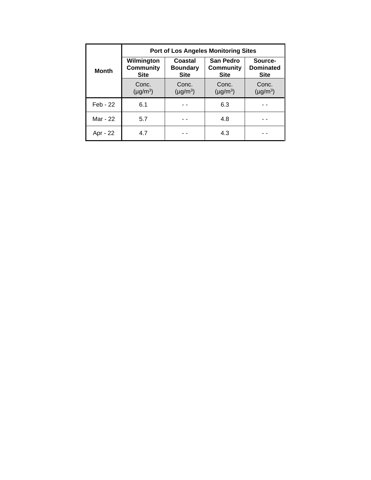|              | <b>Port of Los Angeles Monitoring Sites</b>   |                                           |                                                     |                                            |  |
|--------------|-----------------------------------------------|-------------------------------------------|-----------------------------------------------------|--------------------------------------------|--|
| <b>Month</b> | Wilmington<br><b>Community</b><br><b>Site</b> | Coastal<br><b>Boundary</b><br><b>Site</b> | <b>San Pedro</b><br><b>Community</b><br><b>Site</b> | Source-<br><b>Dominated</b><br><b>Site</b> |  |
|              | Conc.<br>$(\mu g/m^3)$                        | Conc.<br>$(\mu g/m^3)$                    | Conc.<br>$(\mu g/m^3)$                              | Conc.<br>$(\mu g/m^3)$                     |  |
| Feb - 22     | 6.1                                           |                                           | 6.3                                                 |                                            |  |
| Mar - 22     | 5.7                                           |                                           | 4.8                                                 |                                            |  |
| Apr - 22     | 4.7                                           |                                           | 4.3                                                 |                                            |  |